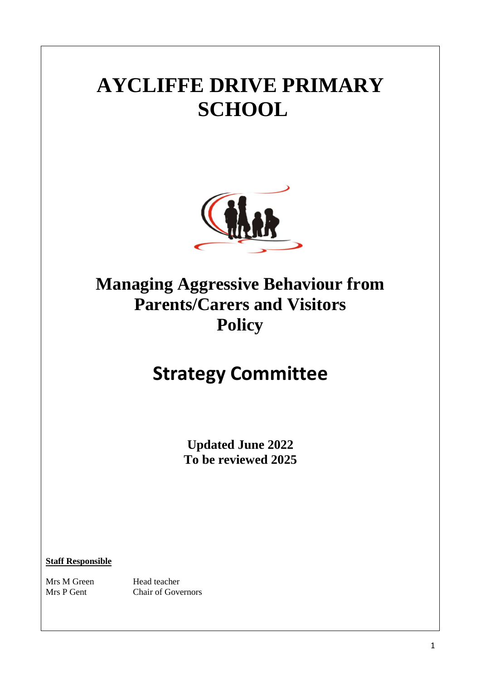# **AYCLIFFE DRIVE PRIMARY SCHOOL**



### **Managing Aggressive Behaviour from Parents/Carers and Visitors Policy**

### **Strategy Committee**

**Updated June 2022 To be reviewed 2025**

**Staff Responsible**

Mrs M Green Head teacher

Mrs P Gent Chair of Governors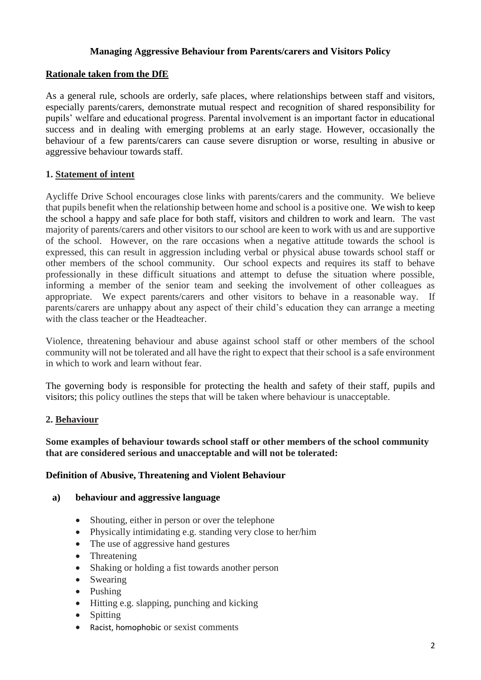#### **Managing Aggressive Behaviour from Parents/carers and Visitors Policy**

#### **Rationale taken from the DfE**

As a general rule, schools are orderly, safe places, where relationships between staff and visitors, especially parents/carers, demonstrate mutual respect and recognition of shared responsibility for pupils' welfare and educational progress. Parental involvement is an important factor in educational success and in dealing with emerging problems at an early stage. However, occasionally the behaviour of a few parents/carers can cause severe disruption or worse, resulting in abusive or aggressive behaviour towards staff.

#### **1. Statement of intent**

Aycliffe Drive School encourages close links with parents/carers and the community. We believe that pupils benefit when the relationship between home and school is a positive one. We wish to keep the school a happy and safe place for both staff, visitors and children to work and learn. The vast majority of parents/carers and other visitors to our school are keen to work with us and are supportive of the school. However, on the rare occasions when a negative attitude towards the school is expressed, this can result in aggression including verbal or physical abuse towards school staff or other members of the school community. Our school expects and requires its staff to behave professionally in these difficult situations and attempt to defuse the situation where possible, informing a member of the senior team and seeking the involvement of other colleagues as appropriate. We expect parents/carers and other visitors to behave in a reasonable way. If parents/carers are unhappy about any aspect of their child's education they can arrange a meeting with the class teacher or the Headteacher.

Violence, threatening behaviour and abuse against school staff or other members of the school community will not be tolerated and all have the right to expect that their school is a safe environment in which to work and learn without fear.

The governing body is responsible for protecting the health and safety of their staff, pupils and visitors; this policy outlines the steps that will be taken where behaviour is unacceptable.

#### **2. Behaviour**

#### **Some examples of behaviour towards school staff or other members of the school community that are considered serious and unacceptable and will not be tolerated:**

#### **Definition of Abusive, Threatening and Violent Behaviour**

#### **a) behaviour and aggressive language**

- Shouting, either in person or over the telephone
- Physically intimidating e.g. standing very close to her/him
- The use of aggressive hand gestures
- Threatening
- Shaking or holding a fist towards another person
- Swearing
- Pushing
- Hitting e.g. slapping, punching and kicking
- Spitting
- Racist, homophobic or sexist comments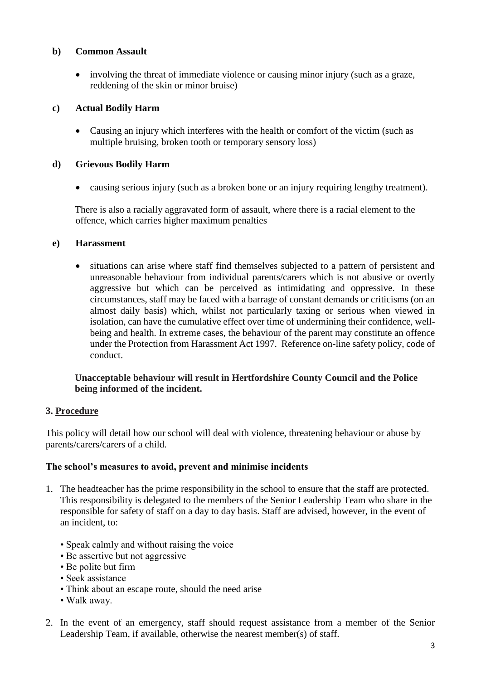#### **b) Common Assault**

 involving the threat of immediate violence or causing minor injury (such as a graze, reddening of the skin or minor bruise)

#### **c) Actual Bodily Harm**

 Causing an injury which interferes with the health or comfort of the victim (such as multiple bruising, broken tooth or temporary sensory loss)

#### **d) Grievous Bodily Harm**

causing serious injury (such as a broken bone or an injury requiring lengthy treatment).

There is also a racially aggravated form of assault, where there is a racial element to the offence, which carries higher maximum penalties

#### **e) Harassment**

 situations can arise where staff find themselves subjected to a pattern of persistent and unreasonable behaviour from individual parents/carers which is not abusive or overtly aggressive but which can be perceived as intimidating and oppressive. In these circumstances, staff may be faced with a barrage of constant demands or criticisms (on an almost daily basis) which, whilst not particularly taxing or serious when viewed in isolation, can have the cumulative effect over time of undermining their confidence, wellbeing and health. In extreme cases, the behaviour of the parent may constitute an offence under the Protection from Harassment Act 1997. Reference on-line safety policy, code of conduct.

#### **Unacceptable behaviour will result in Hertfordshire County Council and the Police being informed of the incident.**

#### **3. Procedure**

This policy will detail how our school will deal with violence, threatening behaviour or abuse by parents/carers/carers of a child.

#### **The school's measures to avoid, prevent and minimise incidents**

- 1. The headteacher has the prime responsibility in the school to ensure that the staff are protected. This responsibility is delegated to the members of the Senior Leadership Team who share in the responsible for safety of staff on a day to day basis. Staff are advised, however, in the event of an incident, to:
	- Speak calmly and without raising the voice
	- Be assertive but not aggressive
	- Be polite but firm
	- Seek assistance
	- Think about an escape route, should the need arise
	- Walk away.
- 2. In the event of an emergency, staff should request assistance from a member of the Senior Leadership Team, if available, otherwise the nearest member(s) of staff.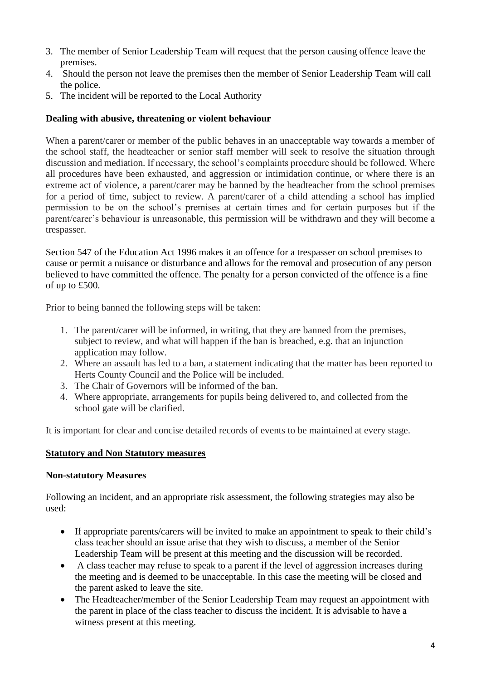- 3. The member of Senior Leadership Team will request that the person causing offence leave the premises.
- 4. Should the person not leave the premises then the member of Senior Leadership Team will call the police.
- 5. The incident will be reported to the Local Authority

#### **Dealing with abusive, threatening or violent behaviour**

When a parent/carer or member of the public behaves in an unacceptable way towards a member of the school staff, the headteacher or senior staff member will seek to resolve the situation through discussion and mediation. If necessary, the school's complaints procedure should be followed. Where all procedures have been exhausted, and aggression or intimidation continue, or where there is an extreme act of violence, a parent/carer may be banned by the headteacher from the school premises for a period of time, subject to review. A parent/carer of a child attending a school has implied permission to be on the school's premises at certain times and for certain purposes but if the parent/carer's behaviour is unreasonable, this permission will be withdrawn and they will become a trespasser.

Section 547 of the Education Act 1996 makes it an offence for a trespasser on school premises to cause or permit a nuisance or disturbance and allows for the removal and prosecution of any person believed to have committed the offence. The penalty for a person convicted of the offence is a fine of up to £500.

Prior to being banned the following steps will be taken:

- 1. The parent/carer will be informed, in writing, that they are banned from the premises, subject to review, and what will happen if the ban is breached, e.g. that an injunction application may follow.
- 2. Where an assault has led to a ban, a statement indicating that the matter has been reported to Herts County Council and the Police will be included.
- 3. The Chair of Governors will be informed of the ban.
- 4. Where appropriate, arrangements for pupils being delivered to, and collected from the school gate will be clarified.

It is important for clear and concise detailed records of events to be maintained at every stage.

#### **Statutory and Non Statutory measures**

#### **Non-statutory Measures**

Following an incident, and an appropriate risk assessment, the following strategies may also be used:

- If appropriate parents/carers will be invited to make an appointment to speak to their child's class teacher should an issue arise that they wish to discuss, a member of the Senior Leadership Team will be present at this meeting and the discussion will be recorded.
- A class teacher may refuse to speak to a parent if the level of aggression increases during the meeting and is deemed to be unacceptable. In this case the meeting will be closed and the parent asked to leave the site.
- The Headteacher/member of the Senior Leadership Team may request an appointment with the parent in place of the class teacher to discuss the incident. It is advisable to have a witness present at this meeting.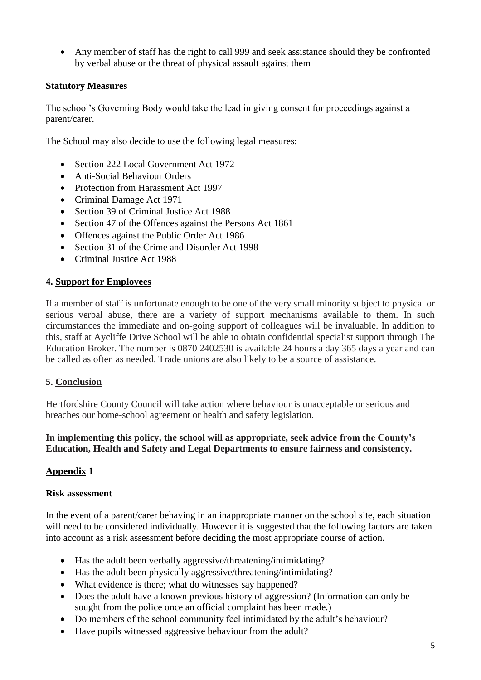Any member of staff has the right to call 999 and seek assistance should they be confronted by verbal abuse or the threat of physical assault against them

#### **Statutory Measures**

The school's Governing Body would take the lead in giving consent for proceedings against a parent/carer.

The School may also decide to use the following legal measures:

- Section 222 Local Government Act 1972
- Anti-Social Behaviour Orders
- Protection from Harassment Act 1997
- Criminal Damage Act 1971
- Section 39 of Criminal Justice Act 1988
- Section 47 of the Offences against the Persons Act 1861
- Offences against the Public Order Act 1986
- Section 31 of the Crime and Disorder Act 1998
- Criminal Justice Act 1988

#### **4. Support for Employees**

If a member of staff is unfortunate enough to be one of the very small minority subject to physical or serious verbal abuse, there are a variety of support mechanisms available to them. In such circumstances the immediate and on-going support of colleagues will be invaluable. In addition to this, staff at Aycliffe Drive School will be able to obtain confidential specialist support through The Education Broker. The number is 0870 2402530 is available 24 hours a day 365 days a year and can be called as often as needed. Trade unions are also likely to be a source of assistance.

#### **5. Conclusion**

Hertfordshire County Council will take action where behaviour is unacceptable or serious and breaches our home-school agreement or health and safety legislation.

#### **In implementing this policy, the school will as appropriate, seek advice from the County's Education, Health and Safety and Legal Departments to ensure fairness and consistency.**

#### **Appendix 1**

#### **Risk assessment**

In the event of a parent/carer behaving in an inappropriate manner on the school site, each situation will need to be considered individually. However it is suggested that the following factors are taken into account as a risk assessment before deciding the most appropriate course of action.

- Has the adult been verbally aggressive/threatening/intimidating?
- Has the adult been physically aggressive/threatening/intimidating?
- What evidence is there; what do witnesses say happened?
- Does the adult have a known previous history of aggression? (Information can only be sought from the police once an official complaint has been made.)
- Do members of the school community feel intimidated by the adult's behaviour?
- Have pupils witnessed aggressive behaviour from the adult?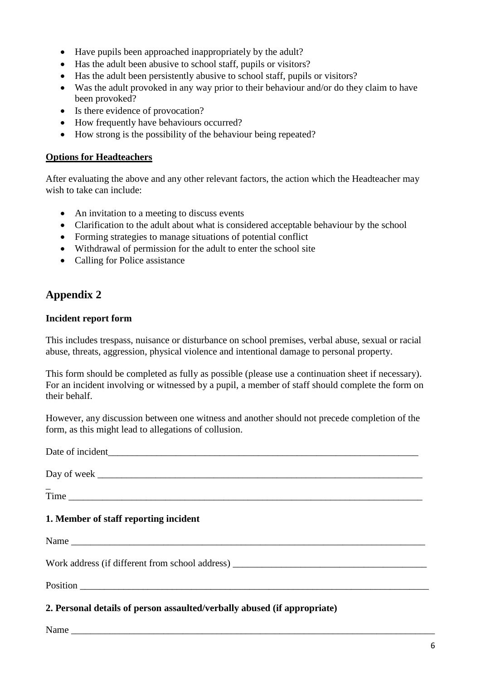- Have pupils been approached inappropriately by the adult?
- Has the adult been abusive to school staff, pupils or visitors?
- Has the adult been persistently abusive to school staff, pupils or visitors?
- Was the adult provoked in any way prior to their behaviour and/or do they claim to have been provoked?
- Is there evidence of provocation?
- How frequently have behaviours occurred?
- How strong is the possibility of the behaviour being repeated?

#### **Options for Headteachers**

After evaluating the above and any other relevant factors, the action which the Headteacher may wish to take can include:

- An invitation to a meeting to discuss events
- Clarification to the adult about what is considered acceptable behaviour by the school
- Forming strategies to manage situations of potential conflict
- Withdrawal of permission for the adult to enter the school site
- Calling for Police assistance

### **Appendix 2**

#### **Incident report form**

This includes trespass, nuisance or disturbance on school premises, verbal abuse, sexual or racial abuse, threats, aggression, physical violence and intentional damage to personal property.

This form should be completed as fully as possible (please use a continuation sheet if necessary). For an incident involving or witnessed by a pupil, a member of staff should complete the form on their behalf.

However, any discussion between one witness and another should not precede completion of the form, as this might lead to allegations of collusion.

Date of incident Day of week  $\overline{a}$ Time  $\Box$ **1. Member of staff reporting incident** Name Work address (if different from school address) Position  $\blacksquare$ **2. Personal details of person assaulted/verbally abused (if appropriate)** Name \_\_\_\_\_\_\_\_\_\_\_\_\_\_\_\_\_\_\_\_\_\_\_\_\_\_\_\_\_\_\_\_\_\_\_\_\_\_\_\_\_\_\_\_\_\_\_\_\_\_\_\_\_\_\_\_\_\_\_\_\_\_\_\_\_\_\_\_\_\_\_\_\_\_\_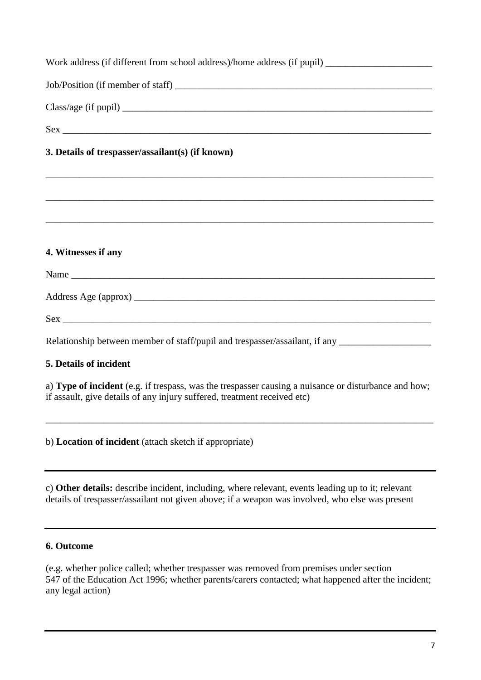| Work address (if different from school address)/home address (if pupil) ____________________________ |
|------------------------------------------------------------------------------------------------------|
|                                                                                                      |
|                                                                                                      |
| Sex                                                                                                  |
| 3. Details of trespasser/assailant(s) (if known)                                                     |
|                                                                                                      |
|                                                                                                      |
|                                                                                                      |
| 4. Witnesses if any                                                                                  |
|                                                                                                      |
|                                                                                                      |
| Sex                                                                                                  |
| Relationship between member of staff/pupil and trespasser/assailant, if any _______________________  |
| 5. Details of incident                                                                               |
| a) Type of incident (e.g. if treenase, was the treenasser causing a nuisance or disturbance and how: |

a) **Type of incident** (e.g. if trespass, was the trespasser causing a nuisance or disturbance and how; if assault, give details of any injury suffered, treatment received etc)

\_\_\_\_\_\_\_\_\_\_\_\_\_\_\_\_\_\_\_\_\_\_\_\_\_\_\_\_\_\_\_\_\_\_\_\_\_\_\_\_\_\_\_\_\_\_\_\_\_\_\_\_\_\_\_\_\_\_\_\_\_\_\_\_\_\_\_\_\_\_\_\_\_\_\_\_\_\_\_\_

b) **Location of incident** (attach sketch if appropriate)

c) **Other details:** describe incident, including, where relevant, events leading up to it; relevant details of trespasser/assailant not given above; if a weapon was involved, who else was present

#### **6. Outcome**

(e.g. whether police called; whether trespasser was removed from premises under section 547 of the Education Act 1996; whether parents/carers contacted; what happened after the incident; any legal action)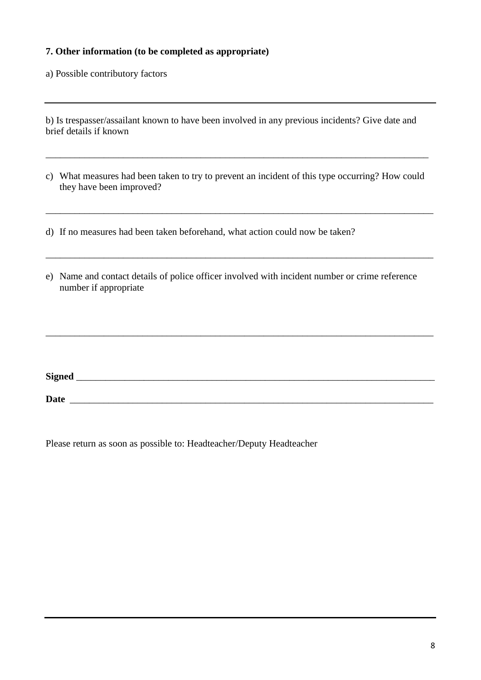#### **7. Other information (to be completed as appropriate)**

a) Possible contributory factors

| b) Is trespasser/assailant known to have been involved in any previous incidents? Give date and |  |  |  |
|-------------------------------------------------------------------------------------------------|--|--|--|
| brief details if known                                                                          |  |  |  |

c) What measures had been taken to try to prevent an incident of this type occurring? How could they have been improved?

\_\_\_\_\_\_\_\_\_\_\_\_\_\_\_\_\_\_\_\_\_\_\_\_\_\_\_\_\_\_\_\_\_\_\_\_\_\_\_\_\_\_\_\_\_\_\_\_\_\_\_\_\_\_\_\_\_\_\_\_\_\_\_\_\_\_\_\_\_\_\_\_\_\_\_\_\_\_\_\_

\_\_\_\_\_\_\_\_\_\_\_\_\_\_\_\_\_\_\_\_\_\_\_\_\_\_\_\_\_\_\_\_\_\_\_\_\_\_\_\_\_\_\_\_\_\_\_\_\_\_\_\_\_\_\_\_\_\_\_\_\_\_\_\_\_\_\_\_\_\_\_\_\_\_\_\_\_\_\_\_

\_\_\_\_\_\_\_\_\_\_\_\_\_\_\_\_\_\_\_\_\_\_\_\_\_\_\_\_\_\_\_\_\_\_\_\_\_\_\_\_\_\_\_\_\_\_\_\_\_\_\_\_\_\_\_\_\_\_\_\_\_\_\_\_\_\_\_\_\_\_\_\_\_\_\_\_\_\_\_\_

- d) If no measures had been taken beforehand, what action could now be taken?
- e) Name and contact details of police officer involved with incident number or crime reference number if appropriate

**Date** \_\_\_\_\_\_\_\_\_\_\_\_\_\_\_\_\_\_\_\_\_\_\_\_\_\_\_\_\_\_\_\_\_\_\_\_\_\_\_\_\_\_\_\_\_\_\_\_\_\_\_\_\_\_\_\_\_\_\_\_\_\_\_\_\_\_\_\_\_\_\_\_\_\_\_

**Signed** \_\_\_\_\_\_\_\_\_\_\_\_\_\_\_\_\_\_\_\_\_\_\_\_\_\_\_\_\_\_\_\_\_\_\_\_\_\_\_\_\_\_\_\_\_\_\_\_\_\_\_\_\_\_\_\_\_\_\_\_\_\_\_\_\_\_\_\_\_\_\_\_\_\_

Please return as soon as possible to: Headteacher/Deputy Headteacher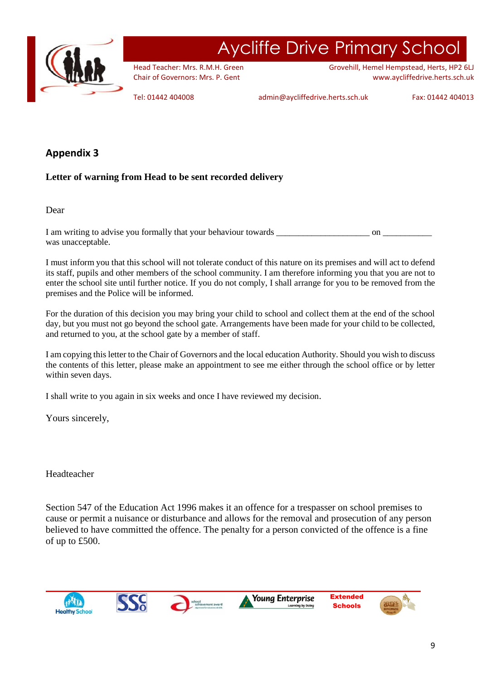

## Aycliffe Drive Primary School

Head Teacher: Mrs. R.M.H. Green Chair of Governors: Mrs. P. Gent

Grovehill, Hemel Hempstead, Herts, HP2 6LJ www.aycliffedrive.herts.sch.uk

Tel: 01442 404008 admin@aycliffedrive.herts.sch.uk Fax: 01442 404013

#### **Appendix 3**

#### **Letter of warning from Head to be sent recorded delivery**

Dear

I am writing to advise you formally that your behaviour towards \_\_\_\_\_\_\_\_\_\_\_\_\_\_\_\_\_\_\_\_\_ on \_\_\_\_\_\_\_\_\_\_\_ was unacceptable.

I must inform you that this school will not tolerate conduct of this nature on its premises and will act to defend its staff, pupils and other members of the school community. I am therefore informing you that you are not to enter the school site until further notice. If you do not comply, I shall arrange for you to be removed from the premises and the Police will be informed.

For the duration of this decision you may bring your child to school and collect them at the end of the school day, but you must not go beyond the school gate. Arrangements have been made for your child to be collected, and returned to you, at the school gate by a member of staff.

I am copying this letter to the Chair of Governors and the local education Authority. Should you wish to discuss the contents of this letter, please make an appointment to see me either through the school office or by letter within seven days.

I shall write to you again in six weeks and once I have reviewed my decision.

Yours sincerely,

Headteacher

Section 547 of the Education Act 1996 makes it an offence for a trespasser on school premises to cause or permit a nuisance or disturbance and allows for the removal and prosecution of any person believed to have committed the offence. The penalty for a person convicted of the offence is a fine of up to £500.